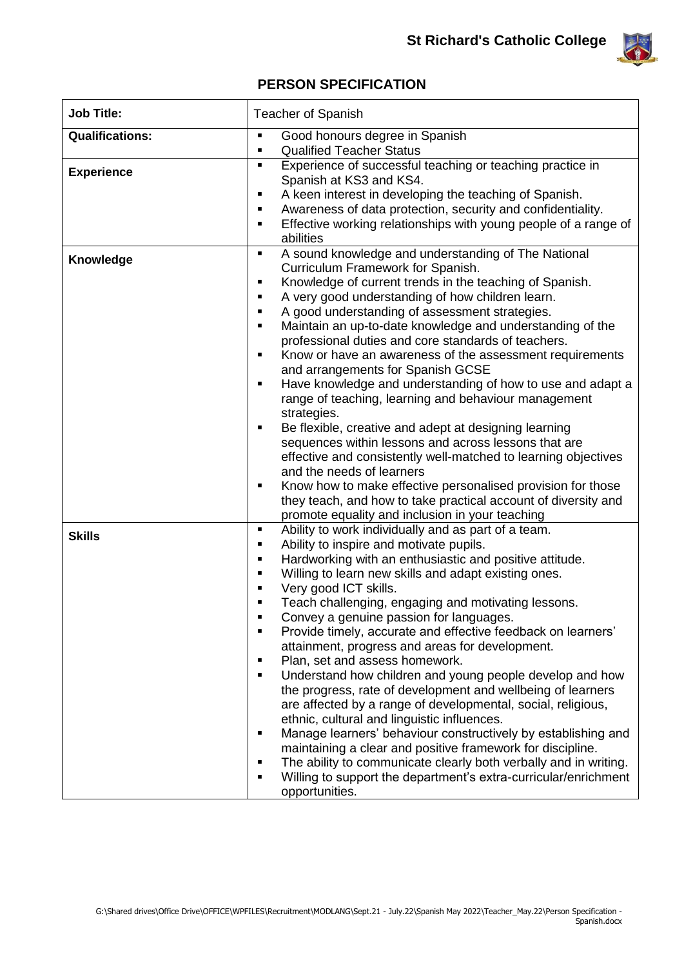

## **PERSON SPECIFICATION**

| <b>Job Title:</b>      | <b>Teacher of Spanish</b>                                                                                                                                                                                                                                                                                                                                                                                                                                                                                                                                                                                                                                                                                                                                                                                                                                                                                                                                                                                                                                                         |
|------------------------|-----------------------------------------------------------------------------------------------------------------------------------------------------------------------------------------------------------------------------------------------------------------------------------------------------------------------------------------------------------------------------------------------------------------------------------------------------------------------------------------------------------------------------------------------------------------------------------------------------------------------------------------------------------------------------------------------------------------------------------------------------------------------------------------------------------------------------------------------------------------------------------------------------------------------------------------------------------------------------------------------------------------------------------------------------------------------------------|
| <b>Qualifications:</b> | Good honours degree in Spanish<br>$\blacksquare$<br><b>Qualified Teacher Status</b>                                                                                                                                                                                                                                                                                                                                                                                                                                                                                                                                                                                                                                                                                                                                                                                                                                                                                                                                                                                               |
| <b>Experience</b>      | Experience of successful teaching or teaching practice in<br>$\blacksquare$<br>Spanish at KS3 and KS4.<br>A keen interest in developing the teaching of Spanish.<br>٠<br>Awareness of data protection, security and confidentiality.<br>٠<br>Effective working relationships with young people of a range of<br>٠<br>abilities                                                                                                                                                                                                                                                                                                                                                                                                                                                                                                                                                                                                                                                                                                                                                    |
| Knowledge              | A sound knowledge and understanding of The National<br>٠<br>Curriculum Framework for Spanish.<br>Knowledge of current trends in the teaching of Spanish.<br>٠<br>A very good understanding of how children learn.<br>٠<br>A good understanding of assessment strategies.<br>٠<br>Maintain an up-to-date knowledge and understanding of the<br>٠<br>professional duties and core standards of teachers.<br>Know or have an awareness of the assessment requirements<br>$\blacksquare$<br>and arrangements for Spanish GCSE<br>Have knowledge and understanding of how to use and adapt a<br>п<br>range of teaching, learning and behaviour management<br>strategies.<br>Be flexible, creative and adept at designing learning<br>٠<br>sequences within lessons and across lessons that are<br>effective and consistently well-matched to learning objectives<br>and the needs of learners<br>Know how to make effective personalised provision for those<br>п<br>they teach, and how to take practical account of diversity and<br>promote equality and inclusion in your teaching |
| <b>Skills</b>          | Ability to work individually and as part of a team.<br>٠<br>Ability to inspire and motivate pupils.<br>٠<br>Hardworking with an enthusiastic and positive attitude.<br>٠<br>Willing to learn new skills and adapt existing ones.<br>$\blacksquare$<br>Very good ICT skills.<br>٠<br>Teach challenging, engaging and motivating lessons.<br>Convey a genuine passion for languages.<br>Provide timely, accurate and effective feedback on learners'<br>attainment, progress and areas for development.<br>Plan, set and assess homework.<br>٠<br>Understand how children and young people develop and how<br>the progress, rate of development and wellbeing of learners<br>are affected by a range of developmental, social, religious,<br>ethnic, cultural and linguistic influences.<br>Manage learners' behaviour constructively by establishing and<br>maintaining a clear and positive framework for discipline.<br>The ability to communicate clearly both verbally and in writing.<br>Willing to support the department's extra-curricular/enrichment<br>opportunities.    |